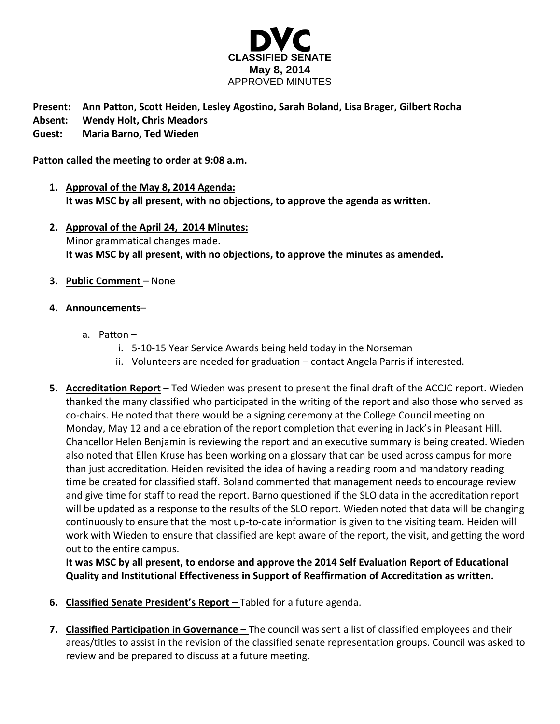

## **Present: Ann Patton, Scott Heiden, Lesley Agostino, Sarah Boland, Lisa Brager, Gilbert Rocha Absent: Wendy Holt, Chris Meadors Guest: Maria Barno, Ted Wieden**

**Patton called the meeting to order at 9:08 a.m.**

- **1. Approval of the May 8, 2014 Agenda: It was MSC by all present, with no objections, to approve the agenda as written.**
- **2. Approval of the April 24, 2014 Minutes:** Minor grammatical changes made. **It was MSC by all present, with no objections, to approve the minutes as amended.**
- **3. Public Comment** None
- **4. Announcements**
	- a. Patton
		- i. 5-10-15 Year Service Awards being held today in the Norseman
		- ii. Volunteers are needed for graduation contact Angela Parris if interested.
- **5. Accreditation Report** Ted Wieden was present to present the final draft of the ACCJC report. Wieden thanked the many classified who participated in the writing of the report and also those who served as co-chairs. He noted that there would be a signing ceremony at the College Council meeting on Monday, May 12 and a celebration of the report completion that evening in Jack's in Pleasant Hill. Chancellor Helen Benjamin is reviewing the report and an executive summary is being created. Wieden also noted that Ellen Kruse has been working on a glossary that can be used across campus for more than just accreditation. Heiden revisited the idea of having a reading room and mandatory reading time be created for classified staff. Boland commented that management needs to encourage review and give time for staff to read the report. Barno questioned if the SLO data in the accreditation report will be updated as a response to the results of the SLO report. Wieden noted that data will be changing continuously to ensure that the most up-to-date information is given to the visiting team. Heiden will work with Wieden to ensure that classified are kept aware of the report, the visit, and getting the word out to the entire campus.

**It was MSC by all present, to endorse and approve the 2014 Self Evaluation Report of Educational Quality and Institutional Effectiveness in Support of Reaffirmation of Accreditation as written.**

- **6. Classified Senate President's Report –** Tabled for a future agenda.
- **7. Classified Participation in Governance –** The council was sent a list of classified employees and their areas/titles to assist in the revision of the classified senate representation groups. Council was asked to review and be prepared to discuss at a future meeting.